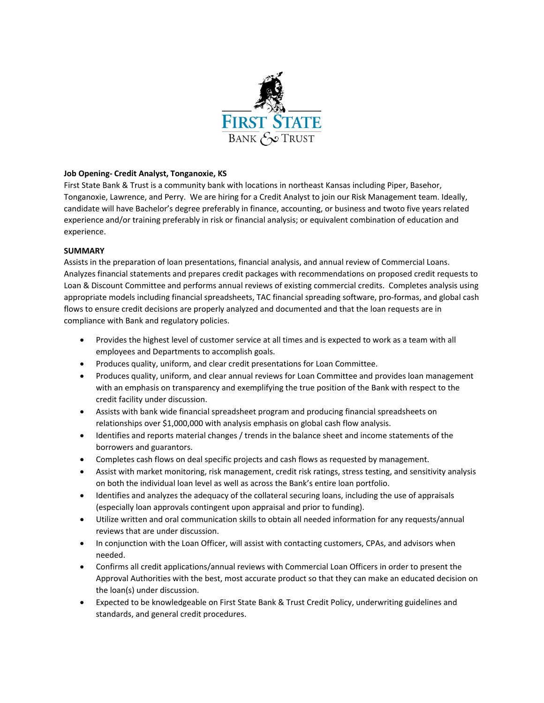

## **Job Opening‐ Credit Analyst, Tonganoxie, KS**

First State Bank & Trust is a community bank with locations in northeast Kansas including Piper, Basehor, Tonganoxie, Lawrence, and Perry. We are hiring for a Credit Analyst to join our Risk Management team. Ideally, candidate will have Bachelor's degree preferably in finance, accounting, or business and twoto five years related experience and/or training preferably in risk or financial analysis; or equivalent combination of education and experience.

## **SUMMARY**

Assists in the preparation of loan presentations, financial analysis, and annual review of Commercial Loans. Analyzes financial statements and prepares credit packages with recommendations on proposed credit requests to Loan & Discount Committee and performs annual reviews of existing commercial credits. Completes analysis using appropriate models including financial spreadsheets, TAC financial spreading software, pro‐formas, and global cash flows to ensure credit decisions are properly analyzed and documented and that the loan requests are in compliance with Bank and regulatory policies.

- Provides the highest level of customer service at all times and is expected to work as a team with all employees and Departments to accomplish goals.
- Produces quality, uniform, and clear credit presentations for Loan Committee.
- Produces quality, uniform, and clear annual reviews for Loan Committee and provides loan management with an emphasis on transparency and exemplifying the true position of the Bank with respect to the credit facility under discussion.
- Assists with bank wide financial spreadsheet program and producing financial spreadsheets on relationships over \$1,000,000 with analysis emphasis on global cash flow analysis.
- Identifies and reports material changes / trends in the balance sheet and income statements of the borrowers and guarantors.
- Completes cash flows on deal specific projects and cash flows as requested by management.
- Assist with market monitoring, risk management, credit risk ratings, stress testing, and sensitivity analysis on both the individual loan level as well as across the Bank's entire loan portfolio.
- Identifies and analyzes the adequacy of the collateral securing loans, including the use of appraisals (especially loan approvals contingent upon appraisal and prior to funding).
- Utilize written and oral communication skills to obtain all needed information for any requests/annual reviews that are under discussion.
- In conjunction with the Loan Officer, will assist with contacting customers, CPAs, and advisors when needed.
- Confirms all credit applications/annual reviews with Commercial Loan Officers in order to present the Approval Authorities with the best, most accurate product so that they can make an educated decision on the loan(s) under discussion.
- Expected to be knowledgeable on First State Bank & Trust Credit Policy, underwriting guidelines and standards, and general credit procedures.